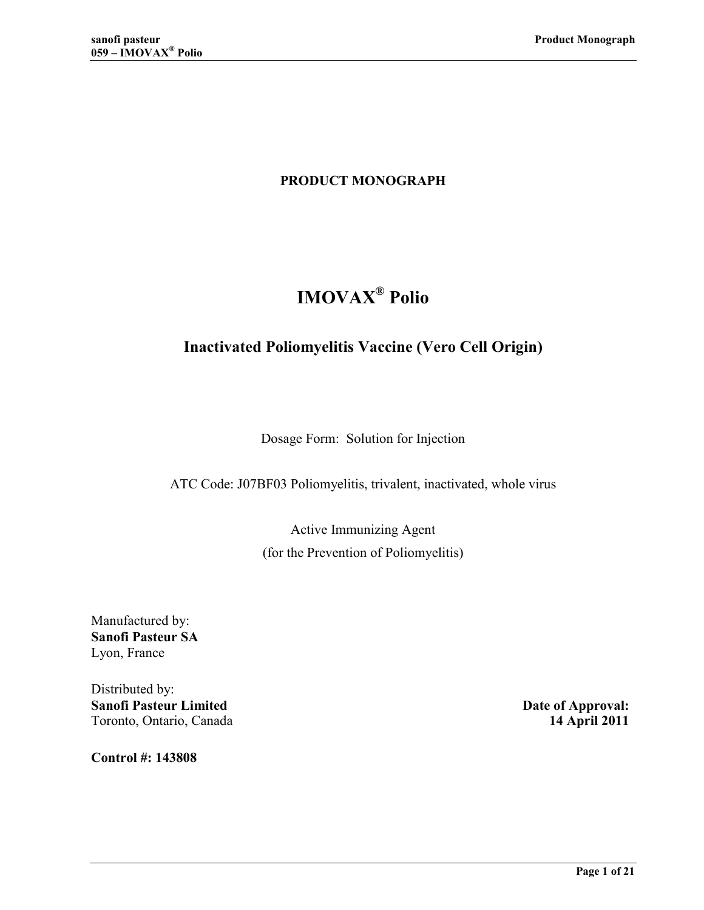# **PRODUCT MONOGRAPH**

# **IMOVAX<sup>®</sup> Polio**

# **Inactivated Poliomyelitis Vaccine (Vero Cell Origin)**

Dosage Form: Solution for Injection

ATC Code: J07BF03 Poliomyelitis, trivalent, inactivated, whole virus

Active Immunizing Agent (for the Prevention of Poliomyelitis)

Manufactured by: **Sanofi Pasteur SA** Lyon, France

Distributed by: **Sanofi Pasteur Limited Contract Date of Approval:** Toronto, Ontario, Canada **14 April 2011**

**Control #: 143808**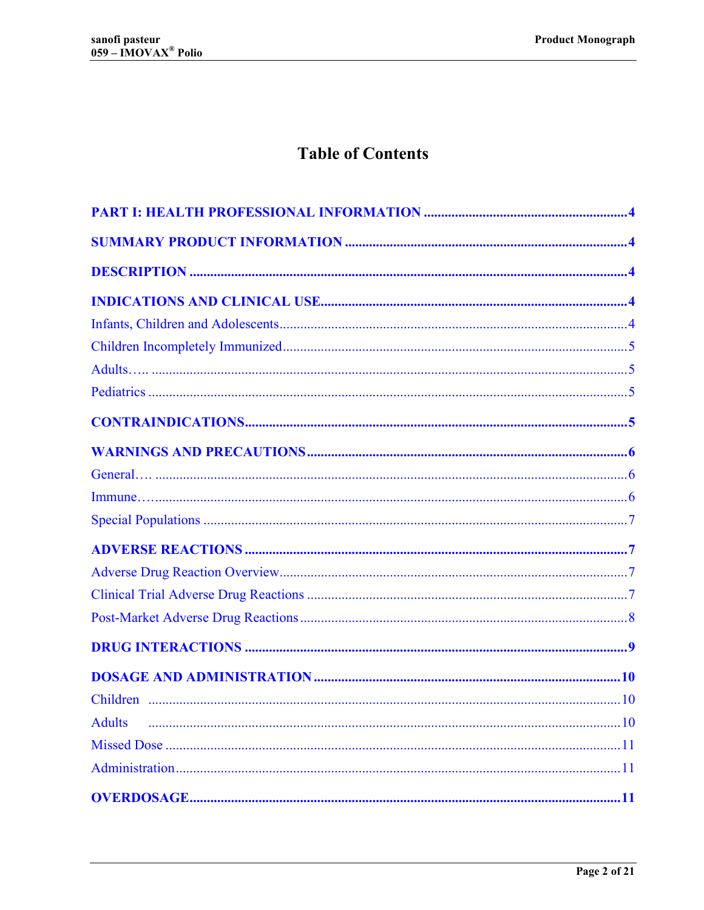# **Table of Contents**

| <b>Adults</b> |  |  |
|---------------|--|--|
|               |  |  |
|               |  |  |
|               |  |  |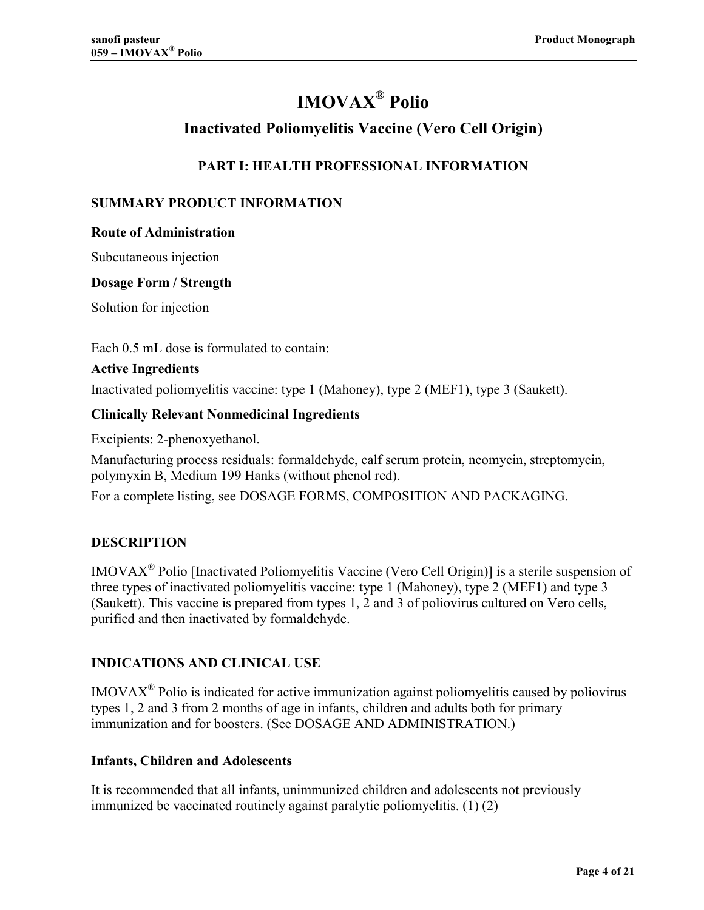# **IMOVAX<sup>®</sup> Polio**

# **Inactivated Poliomyelitis Vaccine (Vero Cell Origin)**

# **PART I: HEALTH PROFESSIONAL INFORMATION**

# <span id="page-3-0"></span>**SUMMARY PRODUCT INFORMATION**

#### **Route of Administration**

Subcutaneous injection

#### **Dosage Form / Strength**

Solution for injection

Each 0.5 mL dose is formulated to contain:

#### **Active Ingredients**

Inactivated poliomyelitis vaccine: type 1 (Mahoney), type 2 (MEF1), type 3 (Saukett).

#### **Clinically Relevant Nonmedicinal Ingredients**

Excipients: 2-phenoxyethanol.

Manufacturing process residuals: formaldehyde, calf serum protein, neomycin, streptomycin, polymyxin B, Medium 199 Hanks (without phenol red).

For a complete listing, see DOSAGE FORMS, COMPOSITION AND PACKAGING.

## **DESCRIPTION**

IMOVAXÆ Polio [Inactivated Poliomyelitis Vaccine (Vero Cell Origin)] is a sterile suspension of three types of inactivated poliomyelitis vaccine: type 1 (Mahoney), type 2 (MEF1) and type 3 (Saukett). This vaccine is prepared from types 1, 2 and 3 of poliovirus cultured on Vero cells, purified and then inactivated by formaldehyde.

## **INDICATIONS AND CLINICAL USE**

 $IMOVAX<sup>®</sup>$  Polio is indicated for active immunization against poliomyelitis caused by poliovirus types 1, 2 and 3 from 2 months of age in infants, children and adults both for primary immunization and for boosters. (See DOSAGE AND ADMINISTRATION.)

#### **Infants, Children and Adolescents**

It is recommended that all infants, unimmunized children and adolescents not previously immunized be vaccinated routinely against paralytic poliomyelitis. [\(1\) \(2\)](#page-16-0)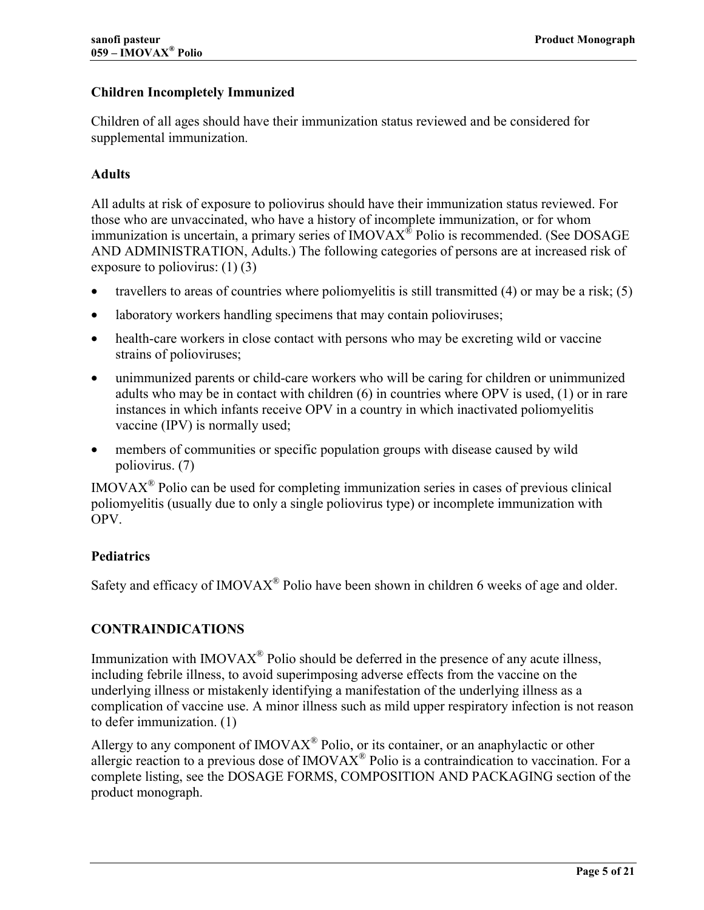# <span id="page-4-0"></span>**Children Incompletely Immunized**

Children of all ages should have their immunization status reviewed and be considered for supplemental immunization.

### **Adults**

All adults at risk of exposure to poliovirus should have their immunization status reviewed. For those who are unvaccinated, who have a history of incomplete immunization, or for whom immunization is uncertain, a primary series of  $IMOVAX^{\circledast}$  Polio is recommended. (See DOSAGE AND ADMINISTRATION, Adults.) The following categories of persons are at increased risk of exposure to poliovirus:  $(1)$   $(3)$ 

- travellers to areas of countries where poliomyelitis is still transmitted [\(4\)](#page-16-0) or may be a risk; [\(5\)](#page-16-0)
- laboratory workers handling specimens that may contain polioviruses;
- health-care workers in close contact with persons who may be excreting wild or vaccine strains of polioviruses;
- unimmunized parents or child-care workers who will be caring for children or unimmunized adults who may be in contact with children (6) in countries where OPV is used, (1) or in rare instances in which infants receive OPV in [a co](#page-16-0)untry in which inactivated polio[myel](#page-16-0)itis vaccine (IPV) is normally used;
- members of communities or specific population groups with disease caused by wild poliovirus. (7)

 $IMOVAX<sup>®</sup>$  Pol[io c](#page-16-0)an be used for completing immunization series in cases of previous clinical poliomyelitis (usually due to only a single poliovirus type) or incomplete immunization with OPV.

## **Pediatrics**

Safety and efficacy of IMOVA $X^{\circledast}$  Polio have been shown in children 6 weeks of age and older.

## **CONTRAINDICATIONS**

Immunization with IMOVA $X^{\mathcal{R}}$  Polio should be deferred in the presence of any acute illness, including febrile illness, to avoid superimposing adverse effects from the vaccine on the underlying illness or mistakenly identifying a manifestation of the underlying illness as a complication of vaccine use. A minor illness such as mild upper respiratory infection is not reason to defer immunization. [\(1\)](#page-16-0)

Allergy to any component of  $IMOVAX^{\circledast}$  Polio, or its container, or an anaphylactic or other allergic reaction to a previous dose of  $IMOVAX^{\circledast}$  Polio is a contraindication to vaccination. For a complete listing, see the DOSAGE FORMS, COMPOSITION AND PACKAGING section of the product monograph.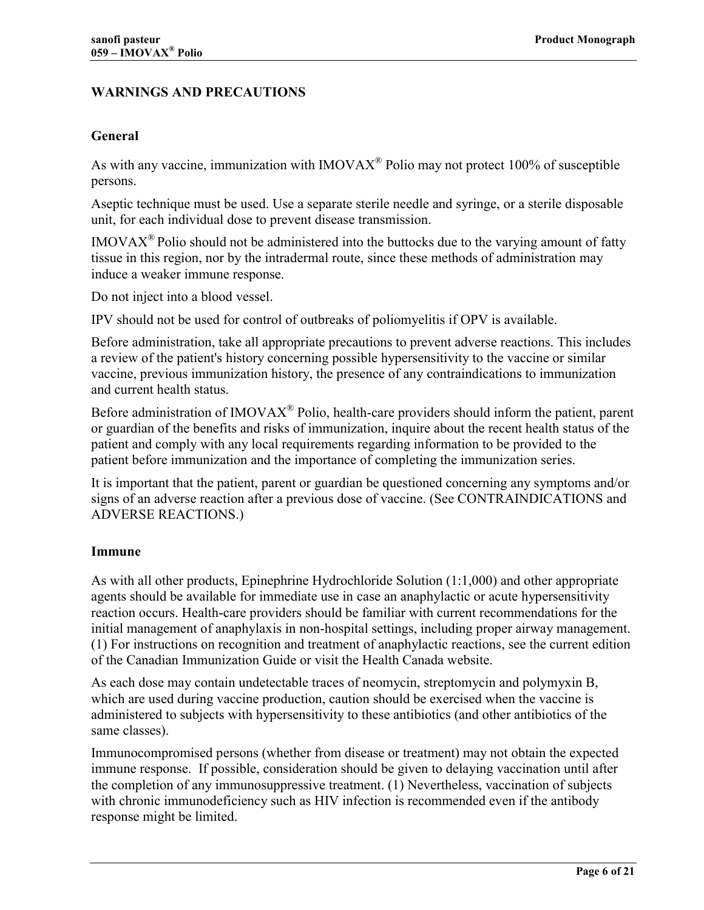# <span id="page-5-0"></span>**WARNINGS AND PRECAUTIONS**

#### **General**

As with any vaccine, immunization with  $IMOVAX^{\circledR}$  Polio may not protect 100% of susceptible persons.

Aseptic technique must be used. Use a separate sterile needle and syringe, or a sterile disposable unit, for each individual dose to prevent disease transmission.

 $IMOVAX^{\circledR}$  Polio should not be administered into the buttocks due to the varying amount of fatty tissue in this region, nor by the intradermal route, since these methods of administration may induce a weaker immune response.

Do not inject into a blood vessel.

IPV should not be used for control of outbreaks of poliomyelitis if OPV is available.

Before administration, take all appropriate precautions to prevent adverse reactions. This includes a review of the patient's history concerning possible hypersensitivity to the vaccine or similar vaccine, previous immunization history, the presence of any contraindications to immunization and current health status.

Before administration of  $IMOVAX^{\circledast}$  Polio, health-care providers should inform the patient, parent or guardian of the benefits and risks of immunization, inquire about the recent health status of the patient and comply with any local requirements regarding information to be provided to the patient before immunization and the importance of completing the immunization series.

It is important that the patient, parent or guardian be questioned concerning any symptoms and/or signs of an adverse reaction after a previous dose of vaccine. (See CONTRAINDICATIONS and ADVERSE REACTIONS.)

#### **Immune**

As with all other products, Epinephrine Hydrochloride Solution (1:1,000) and other appropriate agents should be available for immediate use in case an anaphylactic or acute hypersensitivity reaction occurs. Health-care providers should be familiar with current recommendations for the initial management of anaphylaxis in non-hospital settings, including proper airway management. (1) For instructions on recognition and treatment of anaphylactic reactions, see the current edition [of t](#page-16-0)he Canadian Immunization Guide or visit the Health Canada website.

As each dose may contain undetectable traces of neomycin, streptomycin and polymyxin B, which are used during vaccine production, caution should be exercised when the vaccine is administered to subjects with hypersensitivity to these antibiotics (and other antibiotics of the same classes).

Immunocompromised persons (whether from disease or treatment) may not obtain the expected immune response. If possible, consideration should be given to delaying vaccination until after the completion of any immunosuppressive treatment. (1) Nevertheless, vaccination of subjects with chronic immunodeficiency such as HIV infectio[n is](#page-16-0) recommended even if the antibody response might be limited.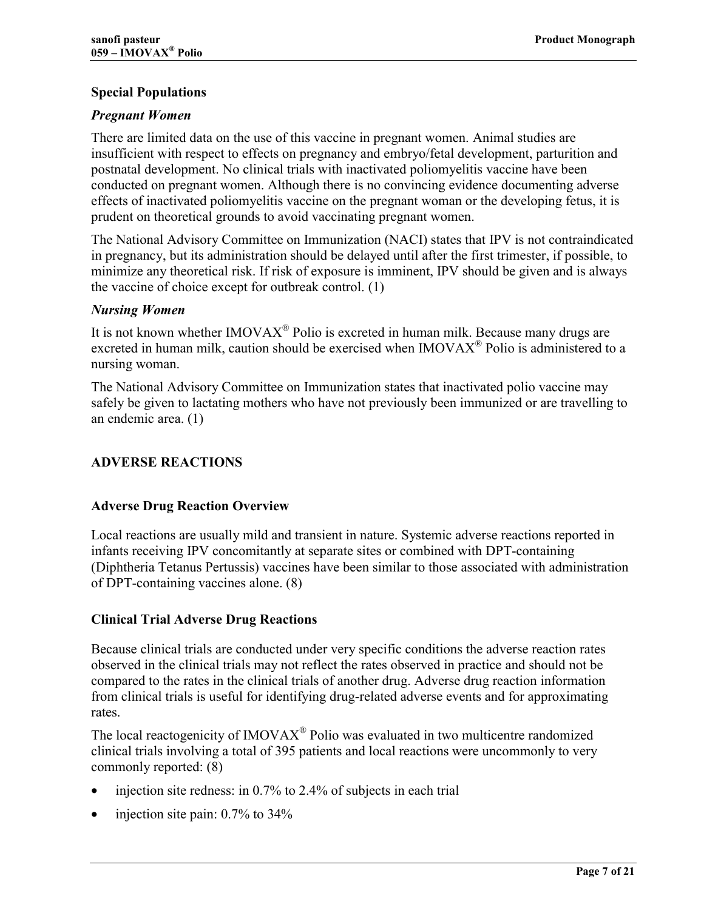# <span id="page-6-0"></span>**Special Populations**

## *Pregnant Women*

There are limited data on the use of this vaccine in pregnant women. Animal studies are insufficient with respect to effects on pregnancy and embryo/fetal development, parturition and postnatal development. No clinical trials with inactivated poliomyelitis vaccine have been conducted on pregnant women. Although there is no convincing evidence documenting adverse effects of inactivated poliomyelitis vaccine on the pregnant woman or the developing fetus, it is prudent on theoretical grounds to avoid vaccinating pregnant women.

The National Advisory Committee on Immunization (NACI) states that IPV is not contraindicated in pregnancy, but its administration should be delayed until after the first trimester, if possible, to minimize any theoretical risk. If risk of exposure is imminent, IPV should be given and is always the vaccine of choice except for outbreak control. [\(1\)](#page-16-0)

### *Nursing Women*

It is not known whether  $IMOVAX^{\circledast}$  Polio is excreted in human milk. Because many drugs are excreted in human milk, caution should be exercised when IMOVAX<sup>®</sup> Polio is administered to a nursing woman.

The National Advisory Committee on Immunization states that inactivated polio vaccine may safely be given to lactating mothers who have not previously been immunized or are travelling to an endemic area. [\(1\)](#page-16-0) 

# **ADVERSE REACTIONS**

## **Adverse Drug Reaction Overview**

Local reactions are usually mild and transient in nature. Systemic adverse reactions reported in infants receiving IPV concomitantly at separate sites or combined with DPT-containing (Diphtheria Tetanus Pertussis) vaccines have been similar to those associated with administration of DPT-containing vaccines alone. [\(8\)](#page-16-0) 

## **Clinical Trial Adverse Drug Reactions**

Because clinical trials are conducted under very specific conditions the adverse reaction rates observed in the clinical trials may not reflect the rates observed in practice and should not be compared to the rates in the clinical trials of another drug. Adverse drug reaction information from clinical trials is useful for identifying drug-related adverse events and for approximating rates.

The local reactogenicity of  $IMOVAX^{\circledR}$  Polio was evaluated in two multicentre randomized clinical trials involving a total of 395 patients and local reactions were uncommonly to very commonly reported: [\(8\)](#page-16-0) 

- injection site redness: in 0.7% to 2.4% of subjects in each trial
- injection site pain: 0.7% to 34%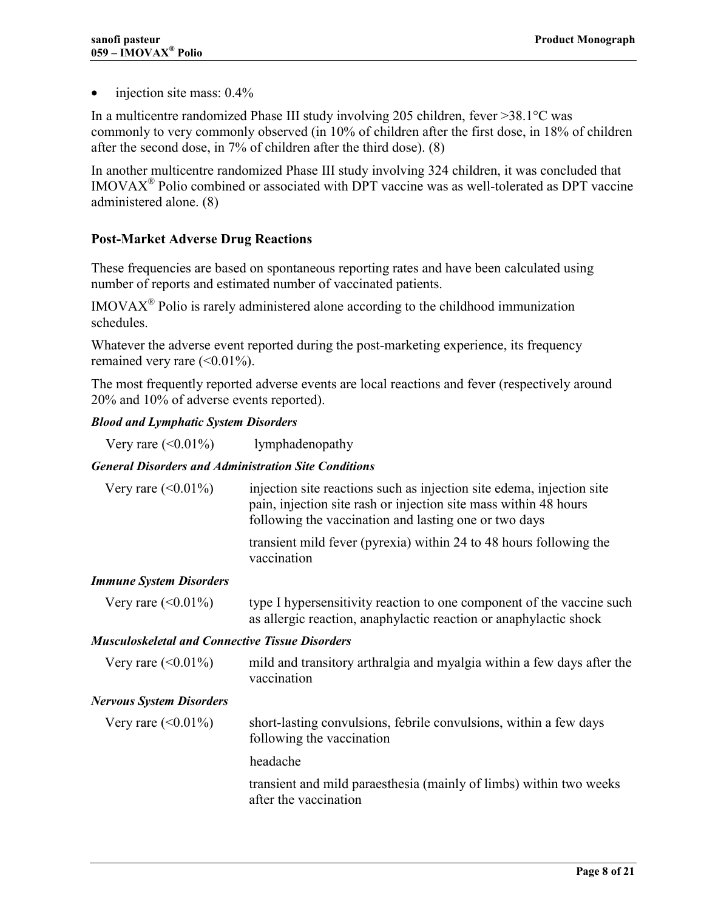<span id="page-7-0"></span>• injection site mass:  $0.4\%$ 

In a multicentre randomized Phase III study involving 205 children, fever >38.1°C was commonly to very commonly observed (in 10% of children after the first dose, in 18% of children after the second dose, in 7% of children after the third dose). [\(8\)](#page-16-0)

In another multicentre randomized Phase III study involving 324 children, it was concluded that  $IMOVAX^{\circledR}$  Polio combined or associated with DPT vaccine was as well-tolerated as DPT vaccine administered alone. [\(8\)](#page-16-0)

## **Post-Market Adverse Drug Reactions**

These frequencies are based on spontaneous reporting rates and have been calculated using number of reports and estimated number of vaccinated patients.

 $IMOVAX<sup>®</sup>$  Polio is rarely administered alone according to the childhood immunization schedules.

Whatever the adverse event reported during the post-marketing experience, its frequency remained very rare  $(<0.01\%$ ).

The most frequently reported adverse events are local reactions and fever (respectively around 20% and 10% of adverse events reported).

#### *Blood and Lymphatic System Disorders*

Very rare  $(<0.01\%)$  lymphadenopathy

#### *General Disorders and Administration Site Conditions*

| Very rare $(<0.01\%)$  | injection site reactions such as injection site edema, injection site<br>pain, injection site rash or injection site mass within 48 hours<br>following the vaccination and lasting one or two days |
|------------------------|----------------------------------------------------------------------------------------------------------------------------------------------------------------------------------------------------|
|                        | transient mild fever (pyrexia) within 24 to 48 hours following the<br>vaccination                                                                                                                  |
| nmune System Disorders |                                                                                                                                                                                                    |

#### *Immune System Disorders*

| Very rare $(<0.01\%)$ | type I hypersensitivity reaction to one component of the vaccine such |
|-----------------------|-----------------------------------------------------------------------|
|                       | as allergic reaction, anaphylactic reaction or anaphylactic shock     |

#### *Musculoskeletal and Connective Tissue Disorders*

| Very rare $(<0.01\%)$           | mild and transitory arthralgia and myalgia within a few days after the<br>vaccination          |
|---------------------------------|------------------------------------------------------------------------------------------------|
| <b>Nervous System Disorders</b> |                                                                                                |
| Very rare $(<0.01\%)$           | short-lasting convulsions, febrile convulsions, within a few days<br>following the vaccination |
|                                 | headache                                                                                       |
|                                 | transient and mild paraesthesia (mainly of limbs) within two weeks<br>after the vaccination    |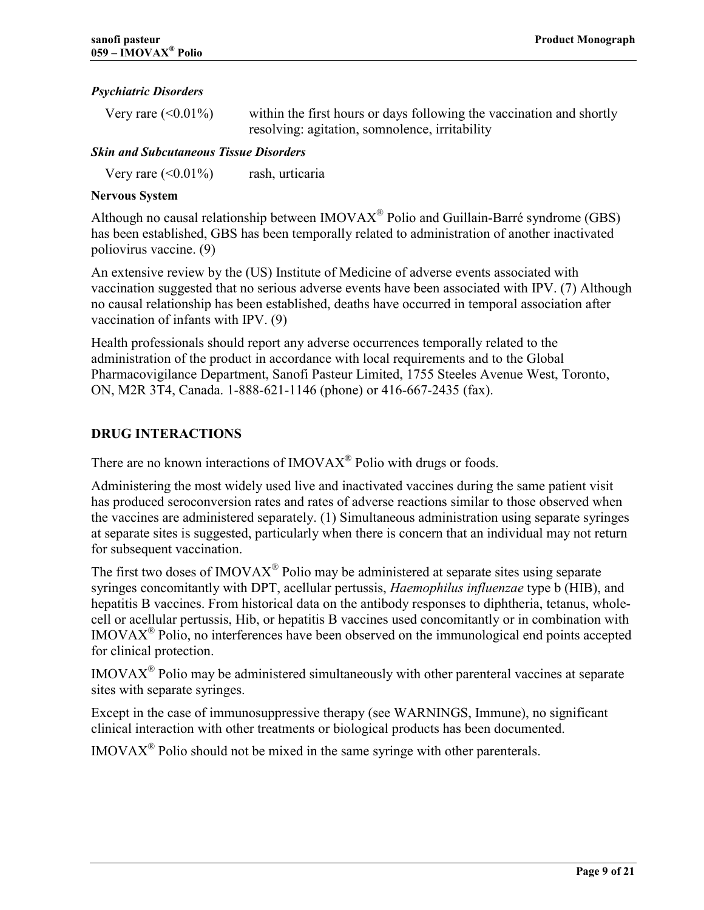#### <span id="page-8-0"></span>*Psychiatric Disorders*

| Very rare $(<0.01\%)$ | within the first hours or days following the vaccination and shortly |
|-----------------------|----------------------------------------------------------------------|
|                       | resolving: agitation, sommolence, irritability                       |

#### *Skin and Subcutaneous Tissue Disorders*

Very rare  $(\leq 0.01\%)$  rash, urticaria

#### **Nervous System**

Although no causal relationship between  $IMOVAX^{\circledast}$  Polio and Guillain-Barré syndrome (GBS) has been established, GBS has been temporally related to administration of another inactivated poliovirus vaccine. [\(9\)](#page-16-0)

An extensive review by the (US) Institute of Medicine of adverse events associated with vaccination suggested that no serious adverse events have been associated with IPV. (7) Although no causal relationship has been established, deaths have occurred in temporal associ[ation](#page-16-0) after vaccination of infants with IPV. [\(9\)](#page-16-0)

Health professionals should report any adverse occurrences temporally related to the administration of the product in accordance with local requirements and to the Global Pharmacovigilance Department, Sanofi Pasteur Limited, 1755 Steeles Avenue West, Toronto, ON, M2R 3T4, Canada. 1-888-621-1146 (phone) or 416-667-2435 (fax).

### **DRUG INTERACTIONS**

There are no known interactions of  $IMOVAX^{\circledR}$  Polio with drugs or foods.

Administering the most widely used live and inactivated vaccines during the same patient visit has produced seroconversion rates and rates of adverse reactions similar to those observed when the vaccines are administered separately. (1) Simultaneous administration using separate syringes at separate sites is suggested, particularly [wh](#page-16-0)en there is concern that an individual may not return for subsequent vaccination.

The first two doses of IMOVAX<sup>®</sup> Polio may be administered at separate sites using separate syringes concomitantly with DPT, acellular pertussis, *Haemophilus influenzae* type b (HIB), and hepatitis B vaccines. From historical data on the antibody responses to diphtheria, tetanus, wholecell or acellular pertussis, Hib, or hepatitis B vaccines used concomitantly or in combination with  $IMOVAX^{\circledR}$  Polio, no interferences have been observed on the immunological end points accepted for clinical protection.

 $IMOVAX^{\circledR}$  Polio may be administered simultaneously with other parenteral vaccines at separate sites with separate syringes.

Except in the case of immunosuppressive therapy (see WARNINGS, Immune), no significant clinical interaction with other treatments or biological products has been documented.

 $IMOVAX^{\circledR}$  Polio should not be mixed in the same syringe with other parenterals.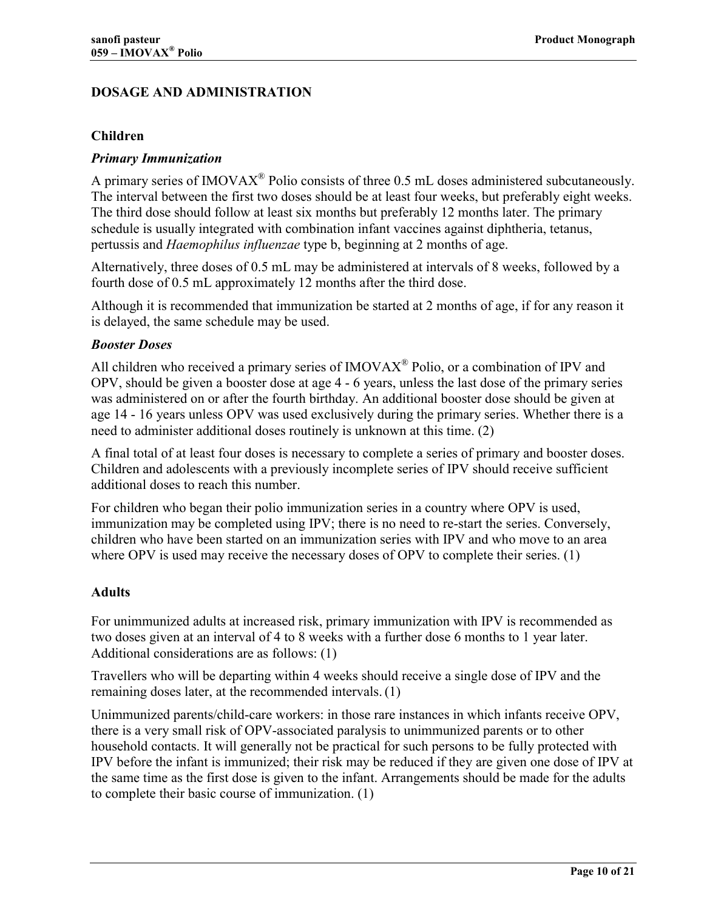# <span id="page-9-0"></span>**DOSAGE AND ADMINISTRATION**

#### **Children**

#### *Primary Immunization*

A primary series of IMOVA $X^{\circledR}$  Polio consists of three 0.5 mL doses administered subcutaneously. The interval between the first two doses should be at least four weeks, but preferably eight weeks. The third dose should follow at least six months but preferably 12 months later. The primary schedule is usually integrated with combination infant vaccines against diphtheria, tetanus, pertussis and *Haemophilus influenzae* type b, beginning at 2 months of age.

Alternatively, three doses of 0.5 mL may be administered at intervals of 8 weeks, followed by a fourth dose of 0.5 mL approximately 12 months after the third dose.

Although it is recommended that immunization be started at 2 months of age, if for any reason it is delayed, the same schedule may be used.

#### *Booster Doses*

All children who received a primary series of  $IMOVAX^{\circledR}$  Polio, or a combination of IPV and OPV, should be given a booster dose at age 4 - 6 years, unless the last dose of the primary series was administered on or after the fourth birthday. An additional booster dose should be given at age 14 - 16 years unless OPV was used exclusively during the primary series. Whether there is a need to administer additional doses routinely is unknown at this time. [\(2\)](#page-16-0) 

A final total of at least four doses is necessary to complete a series of primary and booster doses. Children and adolescents with a previously incomplete series of IPV should receive sufficient additional doses to reach this number.

For children who began their polio immunization series in a country where OPV is used, immunization may be completed using IPV; there is no need to re-start the series. Conversely, children who have been started on an immunization series with IPV and who move to an area where OPV is used may receive the necessary doses of OPV to complete their series. [\(1\)](#page-16-0)

#### **Adults**

For unimmunized adults at increased risk, primary immunization with IPV is recommended as two doses given at an interval of 4 to 8 weeks with a further dose 6 months to 1 year later. Additional considerations are as follows: [\(1\)](#page-16-0)

Travellers who will be departing within 4 weeks should receive a single dose of IPV and the remaining doses later, at the recommended intervals. [\(1\)](#page-16-0)

Unimmunized parents/child-care workers: in those rare instances in which infants receive OPV, there is a very small risk of OPV-associated paralysis to unimmunized parents or to other household contacts. It will generally not be practical for such persons to be fully protected with IPV before the infant is immunized; their risk may be reduced if they are given one dose of IPV at the same time as the first dose is given to the infant. Arrangements should be made for the adults to complete their basic course of immunization. [\(1\)](#page-16-0)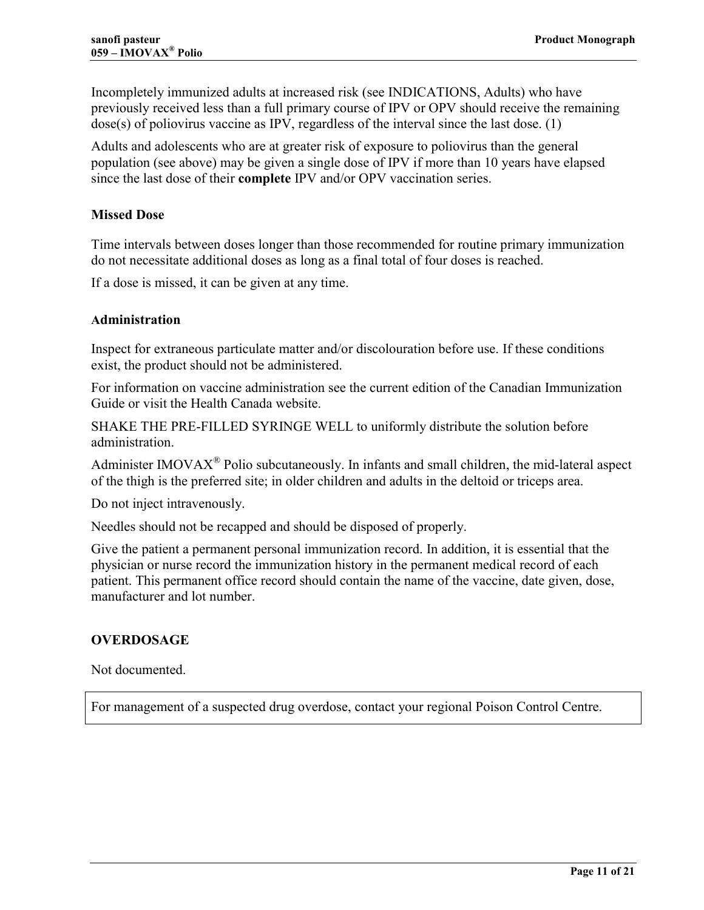<span id="page-10-0"></span>Incompletely immunized adults at increased risk (see INDICATIONS, Adults) who have previously received less than a full primary course of IPV or OPV should receive the remaining  $dose(s)$  of poliovirus vaccine as IPV, regardless of the interval since the last dose. [\(1\)](#page-16-0)

Adults and adolescents who are at greater risk of exposure to poliovirus than the general population (see above) may be given a single dose of IPV if more than 10 years have elapsed since the last dose of their **complete** IPV and/or OPV vaccination series.

#### **Missed Dose**

Time intervals between doses longer than those recommended for routine primary immunization do not necessitate additional doses as long as a final total of four doses is reached.

If a dose is missed, it can be given at any time.

#### **Administration**

Inspect for extraneous particulate matter and/or discolouration before use. If these conditions exist, the product should not be administered.

For information on vaccine administration see the current edition of the Canadian Immunization Guide or visit the Health Canada website.

SHAKE THE PRE-FILLED SYRINGE WELL to uniformly distribute the solution before administration.

Administer IMOVA $X^{\text{R}}$  Polio subcutaneously. In infants and small children, the mid-lateral aspect of the thigh is the preferred site; in older children and adults in the deltoid or triceps area.

Do not inject intravenously.

Needles should not be recapped and should be disposed of properly.

Give the patient a permanent personal immunization record. In addition, it is essential that the physician or nurse record the immunization history in the permanent medical record of each patient. This permanent office record should contain the name of the vaccine, date given, dose, manufacturer and lot number.

#### **OVERDOSAGE**

Not documented.

For management of a suspected drug overdose, contact your regional Poison Control Centre.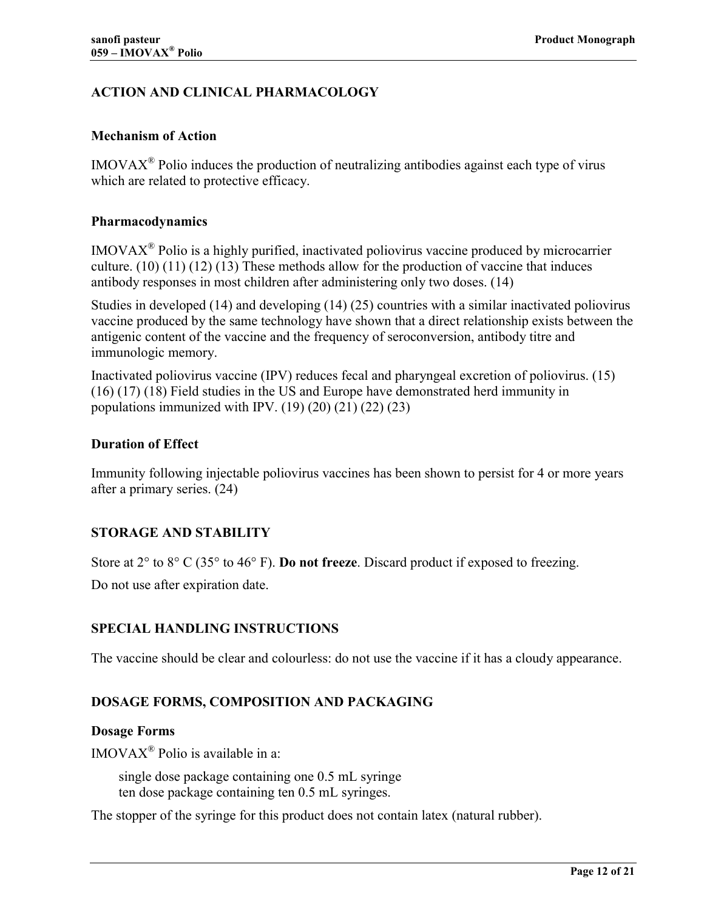# <span id="page-11-0"></span>**ACTION AND CLINICAL PHARMACOLOGY**

### **Mechanism of Action**

 $IMOVAX^{\circledast}$  Polio induces the production of neutralizing antibodies against each type of virus which are related to protective efficacy.

#### **Pharmacodynamics**

IMOVAXÆ Polio is a highly purified, inactivated poliovirus vaccine produced by microcarrier culture. (10) (11) (12) (13) These methods allow for the production of vaccine that induces antibod[y responses in most](#page-16-0) children after administering only two doses. [\(14\)](#page-16-0)

Studies in developed [\(14\)](#page-16-0) and developing (14) (25) countries with a similar inactivated poliovirus vaccine produced by the same technology have shown that a direct relationship exists between the antigenic content of the vaccine and the frequency of seroconversion, antibody titre and immunologic memory.

Inactivated poliovirus vaccine (IPV) reduces fecal and pharyngeal excretion of poliovirus. [\(15\)](#page-16-0) (16) (17) (18) Field studies in the US and Europe have demonstrated herd immunity in [popu](#page-16-0)[lations im](#page-17-0)munized with IPV.  $(19)(20)(21)(22)(23)$ 

### **Duration of Effect**

Immunity following injectable poliovirus vaccines has been shown to persist for 4 or more years after a primary series. [\(24\)](#page-17-0) 

## **STORAGE AND STABILITY**

Store at 2° to 8° C (35° to 46° F). **Do not freeze**. Discard product if exposed to freezing.

Do not use after expiration date.

## **SPECIAL HANDLING INSTRUCTIONS**

The vaccine should be clear and colourless: do not use the vaccine if it has a cloudy appearance.

# **DOSAGE FORMS, COMPOSITION AND PACKAGING**

#### **Dosage Forms**

 $IMOVAX^{\circledR}$  Polio is available in a:

 single dose package containing one 0.5 mL syringe ten dose package containing ten 0.5 mL syringes.

The stopper of the syringe for this product does not contain latex (natural rubber).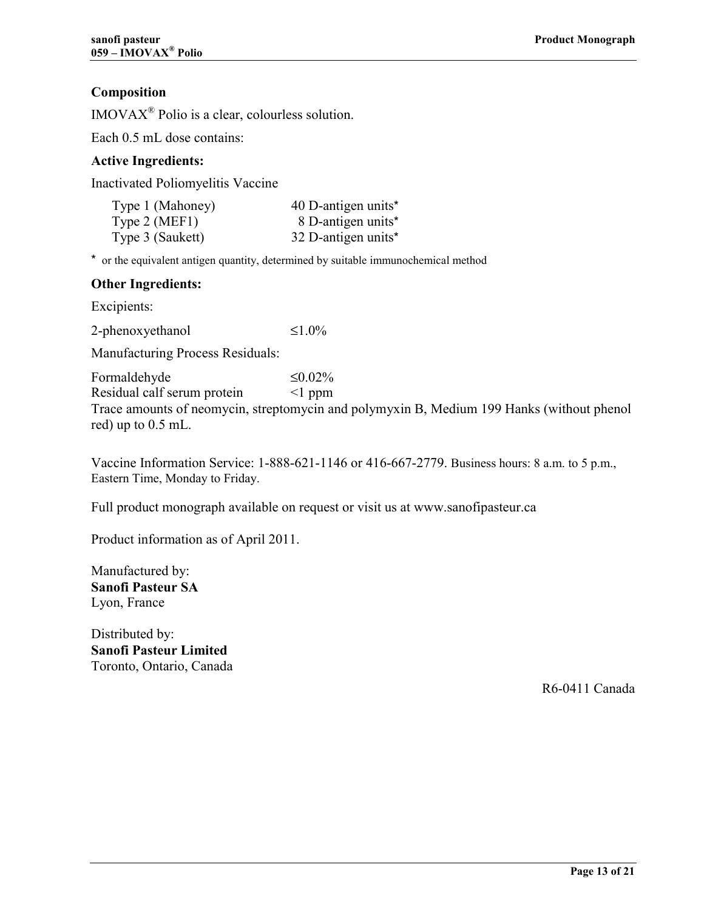# **Composition**

IMOVAXÆ Polio is a clear, colourless solution.

Each 0.5 mL dose contains:

#### **Active Ingredients:**

Inactivated Poliomyelitis Vaccine

| Type 1 (Mahoney) | 40 D-antigen units* |
|------------------|---------------------|
| Type $2$ (MEF1)  | 8 D-antigen units*  |
| Type 3 (Saukett) | 32 D-antigen units* |

\* or the equivalent antigen quantity, determined by suitable immunochemical method

#### **Other Ingredients:**

Excipients:

2-phenoxyethanol  $\leq 1.0\%$ 

Manufacturing Process Residuals:

Formaldehyde  $\leq 0.02\%$ Residual calf serum protein <1 ppm

Trace amounts of neomycin, streptomycin and polymyxin B, Medium 199 Hanks (without phenol red) up to 0.5 mL.

Vaccine Information Service: 1-888-621-1146 or 416-667-2779. Business hours: 8 a.m. to 5 p.m., Eastern Time, Monday to Friday.

Full product monograph available on request or visit us at www.sanofipasteur.ca

Product information as of April 2011.

Manufactured by: **Sanofi Pasteur SA**  Lyon, France

Distributed by: **Sanofi Pasteur Limited**  Toronto, Ontario, Canada

R6-0411 Canada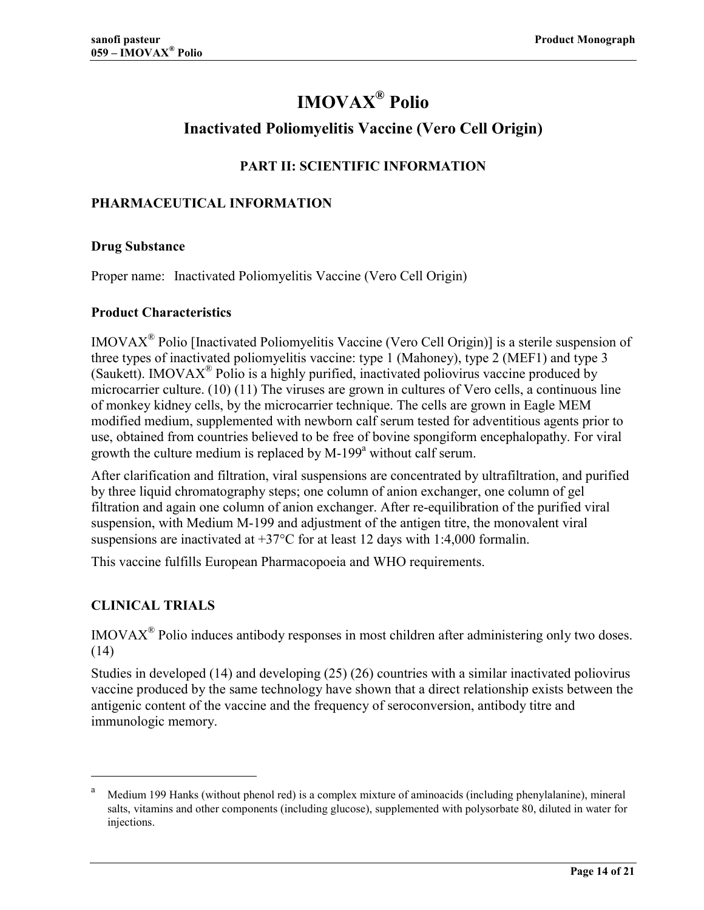# **IMOVAX<sup>®</sup> Polio**

# **Inactivated Poliomyelitis Vaccine (Vero Cell Origin)**

# **PART II: SCIENTIFIC INFORMATION**

### <span id="page-13-0"></span>**PHARMACEUTICAL INFORMATION**

#### **Drug Substance**

Proper name: Inactivated Poliomyelitis Vaccine (Vero Cell Origin)

#### **Product Characteristics**

 $IMOVAX^{\circledR}$  Polio [Inactivated Poliomyelitis Vaccine (Vero Cell Origin)] is a sterile suspension of three types of inactivated poliomyelitis vaccine: type 1 (Mahoney), type 2 (MEF1) and type 3 (Saukett). IMOVA $X^{\circledR}$  Polio is a highly purified, inactivated poliovirus vaccine produced by microcarrier culture. (10) (11) The viruses are grown in cultures of Vero cells, a continuous line of monkey kidney ce[lls, by the](#page-16-0) microcarrier technique. The cells are grown in Eagle MEM modified medium, supplemented with newborn calf serum tested for adventitious agents prior to use, obtained from countries believed to be free of bovine spongiform encephalopathy. For viral growth the culture medium is replaced by  $M-199^a$  without calf serum.

After clarification and filtration, viral suspensions are concentrated by ultrafiltration, and purified by three liquid chromatography steps; one column of anion exchanger, one column of gel filtration and again one column of anion exchanger. After re-equilibration of the purified viral suspension, with Medium M-199 and adjustment of the antigen titre, the monovalent viral suspensions are inactivated at  $+37^{\circ}$ C for at least 12 days with 1:4,000 formalin.

This vaccine fulfills European Pharmacopoeia and WHO requirements.

## **CLINICAL TRIALS**

<u>.</u>

IMOVAXÆ Polio induces antibody responses in most children after administering only two doses. [\(14\)](#page-16-0)

Studies in developed [\(14\)](#page-16-0) and developing [\(25\) \(26\)](#page-17-0) countries with a similar inactivated poliovirus vaccine produced by the same technology have shown that a direct relationship exists between the antigenic content of the vaccine and the frequency of seroconversion, antibody titre and immunologic memory.

a Medium 199 Hanks (without phenol red) is a complex mixture of aminoacids (including phenylalanine), mineral salts, vitamins and other components (including glucose), supplemented with polysorbate 80, diluted in water for injections.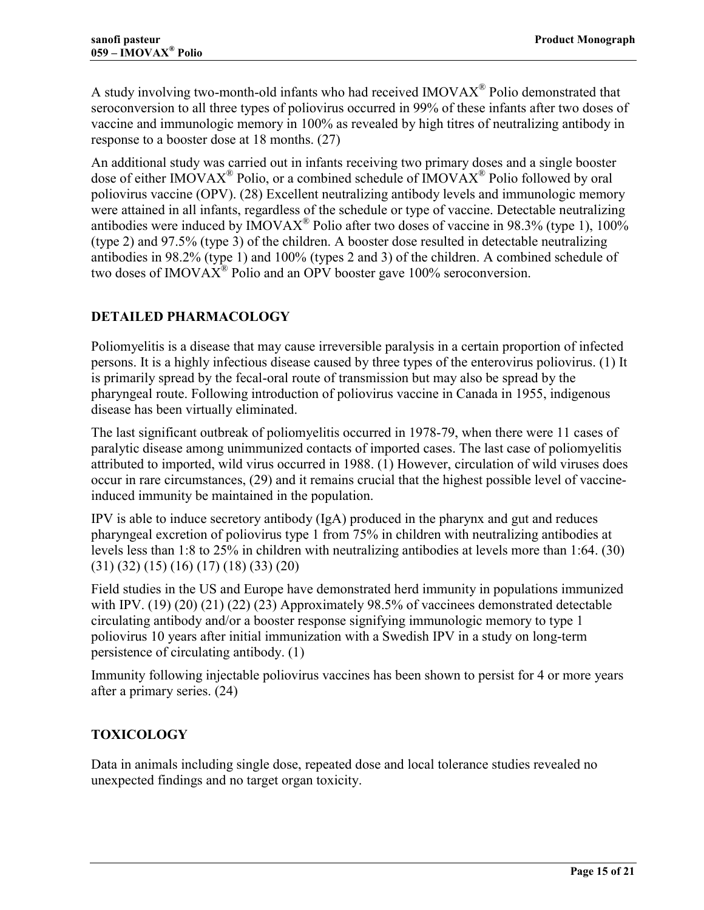<span id="page-14-0"></span>A study involving two-month-old infants who had received  $IMOVAX^{\circledR}$  Polio demonstrated that seroconversion to all three types of poliovirus occurred in 99% of these infants after two doses of vaccine and immunologic memory in 100% as revealed by high titres of neutralizing antibody in response to a booster dose at 18 months. [\(27\)](#page-17-0)

An additional study was carried out in infants receiving two primary doses and a single booster dose of either IMOVAX<sup>®</sup> Polio, or a combined schedule of IMOVAX<sup>®</sup> Polio followed by oral poliovirus vaccine (OPV). (28) Excellent neutralizing antibody levels and immunologic memory were attained in all infants[, rega](#page-17-0)rdless of the schedule or type of vaccine. Detectable neutralizing antibodies were induced by  $\text{IMOVAX}^{\circledR}$  Polio after two doses of vaccine in 98.3% (type 1), 100% (type 2) and 97.5% (type 3) of the children. A booster dose resulted in detectable neutralizing antibodies in 98.2% (type 1) and 100% (types 2 and 3) of the children. A combined schedule of two doses of IMOVA $\overline{X}^{\text{R}}$  Polio and an OPV booster gave 100% seroconversion.

# **DETAILED PHARMACOLOGY**

Poliomyelitis is a disease that may cause irreversible paralysis in a certain proportion of infected persons. It is a highly infectious disease caused by three types of the enterovirus poliovirus. [\(1\)](#page-16-0) It is primarily spread by the fecal-oral route of transmission but may also be spread by the pharyngeal route. Following introduction of poliovirus vaccine in Canada in 1955, indigenous disease has been virtually eliminated.

The last significant outbreak of poliomyelitis occurred in 1978-79, when there were 11 cases of paralytic disease among unimmunized contacts of imported cases. The last case of poliomyelitis attributed to imported, wild virus occurred in 1988. (1) However, circulation of wild viruses does occur in rare circumstances, (29) and it remains cru[cial](#page-16-0) that the highest possible level of vaccineinduced immunity be mainta[ined](#page-17-0) in the population.

IPV is able to induce secretory antibody (IgA) produced in the pharynx and gut and reduces pharyngeal excretion of poliovirus type 1 from 75% in children with neutralizing antibodies at levels less than 1:8 to 25% in children with neutralizing antibodies at levels more than 1:64. [\(30\)](#page-17-0) [\(31\) \(32\)](#page-17-0) [\(15\) \(16\)](#page-16-0) [\(17\) \(18\) \(33\) \(20\)](#page-17-0)

Field studies in the US and Europe have demonstrated herd immunity in populations immunized with IPV. (19) (20) (21) (22) (23) Approximately 98.5% of vaccinees demonstrated detectable circulatin[g antibody and/or a boos](#page-17-0)ter response signifying immunologic memory to type 1 poliovirus 10 years after initial immunization with a Swedish IPV in a study on long-term persistence of circulating antibody. [\(1\)](#page-16-0)

Immunity following injectable poliovirus vaccines has been shown to persist for 4 or more years after a primary series. [\(24\)](#page-17-0) 

# **TOXICOLOGY**

Data in animals including single dose, repeated dose and local tolerance studies revealed no unexpected findings and no target organ toxicity.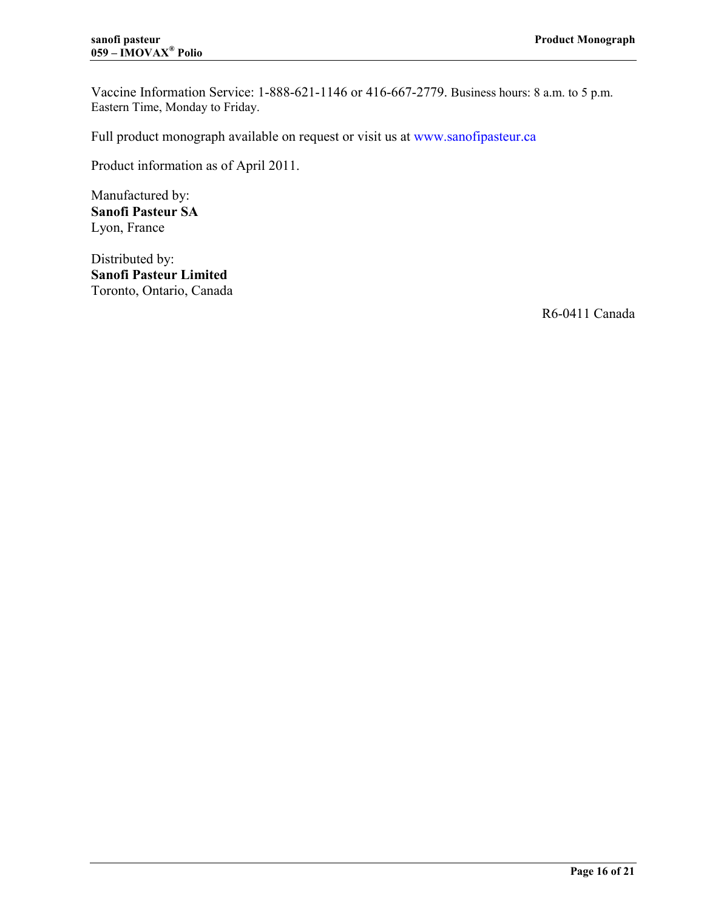Vaccine Information Service: 1-888-621-1146 or 416-667-2779. Business hours: 8 a.m. to 5 p.m. Eastern Time, Monday to Friday.

Full product monograph available on request or visit us at [www.sanofipasteur.ca](http://www.sanofipasteur.ca/#nameddest=www.sanofipasteur.ca)

Product information as of April 2011.

Manufactured by: **Sanofi Pasteur SA**  Lyon, France

Distributed by: **Sanofi Pasteur Limited**  Toronto, Ontario, Canada

R6-0411 Canada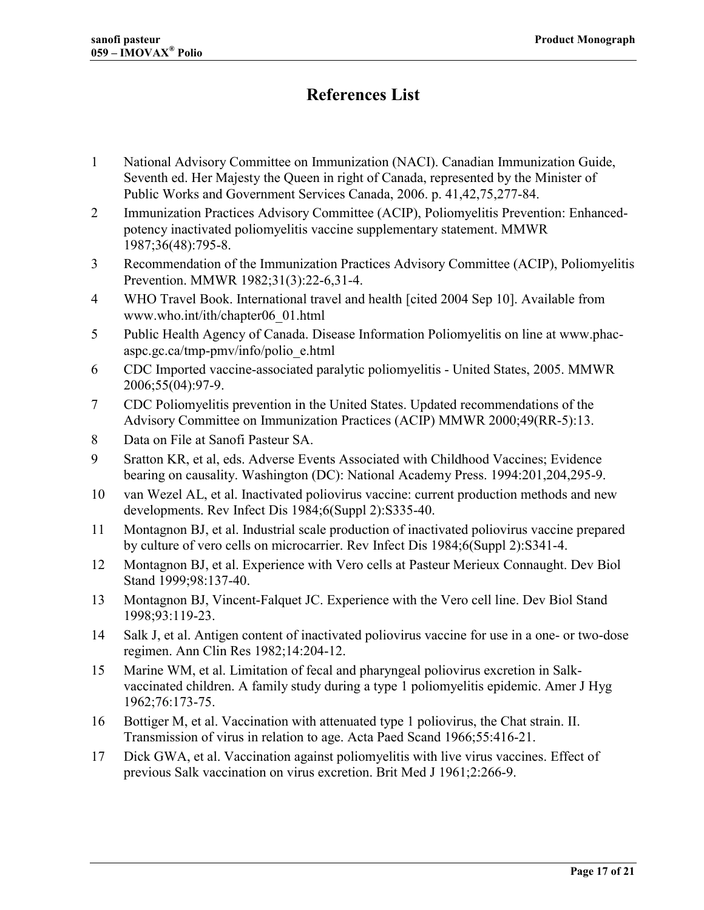# **References List**

- <span id="page-16-0"></span>1 National Advisory Committee on Immunization (NACI). Canadian Immunization Guide, Seventh ed. Her Majesty the Queen in right of Canada, represented by the Minister of Public Works and Government Services Canada, 2006. p. 41,42,75,277-84.
- 2 Immunization Practices Advisory Committee (ACIP), Poliomyelitis Prevention: Enhancedpotency inactivated poliomyelitis vaccine supplementary statement. MMWR 1987;36(48):795-8.
- 3 Recommendation of the Immunization Practices Advisory Committee (ACIP), Poliomyelitis Prevention. MMWR 1982;31(3):22-6,31-4.
- 4 WHO Travel Book. International travel and health [cited 2004 Sep 10]. Available from www.who.int/ith/chapter06\_01.html
- 5 Public Health Agency of Canada. Disease Information Poliomyelitis on line at www.phacaspc.gc.ca/tmp-pmv/info/polio\_e.html
- 6 CDC Imported vaccine-associated paralytic poliomyelitis United States, 2005. MMWR 2006;55(04):97-9.
- 7 CDC Poliomyelitis prevention in the United States. Updated recommendations of the Advisory Committee on Immunization Practices (ACIP) MMWR 2000;49(RR-5):13.
- 8 Data on File at Sanofi Pasteur SA.
- 9 Sratton KR, et al, eds. Adverse Events Associated with Childhood Vaccines; Evidence bearing on causality. Washington (DC): National Academy Press. 1994:201,204,295-9.
- 10 van Wezel AL, et al. Inactivated poliovirus vaccine: current production methods and new developments. Rev Infect Dis 1984;6(Suppl 2):S335-40.
- 11 Montagnon BJ, et al. Industrial scale production of inactivated poliovirus vaccine prepared by culture of vero cells on microcarrier. Rev Infect Dis 1984;6(Suppl 2):S341-4.
- 12 Montagnon BJ, et al. Experience with Vero cells at Pasteur Merieux Connaught. Dev Biol Stand 1999;98:137-40.
- 13 Montagnon BJ, Vincent-Falquet JC. Experience with the Vero cell line. Dev Biol Stand 1998;93:119-23.
- 14 Salk J, et al. Antigen content of inactivated poliovirus vaccine for use in a one- or two-dose regimen. Ann Clin Res 1982;14:204-12.
- 15 Marine WM, et al. Limitation of fecal and pharyngeal poliovirus excretion in Salkvaccinated children. A family study during a type 1 poliomyelitis epidemic. Amer J Hyg 1962;76:173-75.
- 16 Bottiger M, et al. Vaccination with attenuated type 1 poliovirus, the Chat strain. II. Transmission of virus in relation to age. Acta Paed Scand 1966;55:416-21.
- 17 Dick GWA, et al. Vaccination against poliomyelitis with live virus vaccines. Effect of previous Salk vaccination on virus excretion. Brit Med J 1961;2:266-9.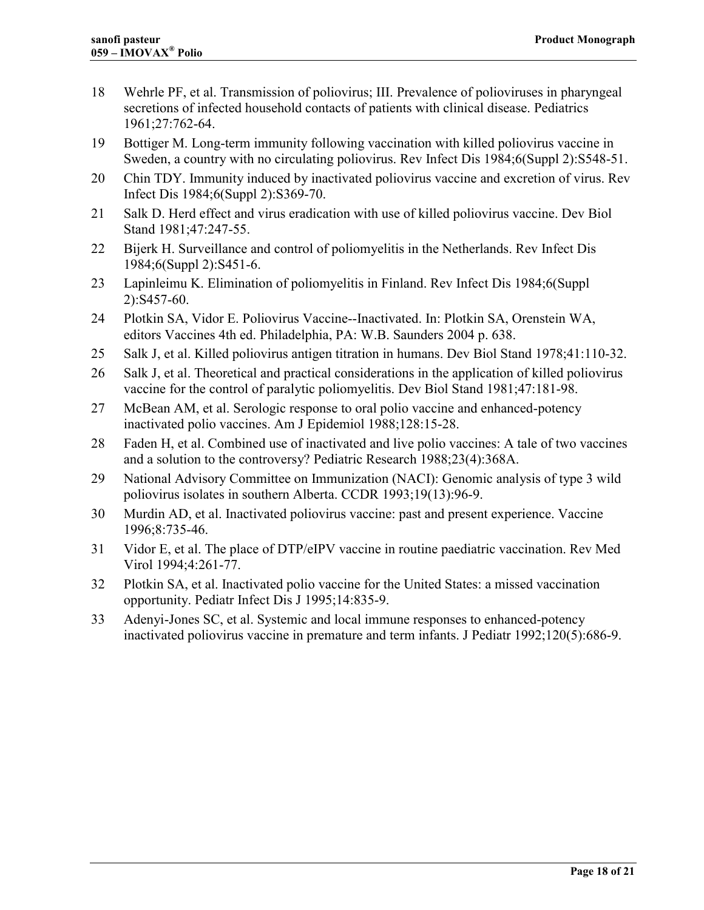- <span id="page-17-0"></span>18 Wehrle PF, et al. Transmission of poliovirus; III. Prevalence of polioviruses in pharyngeal secretions of infected household contacts of patients with clinical disease. Pediatrics 1961;27:762-64.
- 19 Bottiger M. Long-term immunity following vaccination with killed poliovirus vaccine in Sweden, a country with no circulating poliovirus. Rev Infect Dis 1984;6(Suppl 2):S548-51.
- 20 Chin TDY. Immunity induced by inactivated poliovirus vaccine and excretion of virus. Rev Infect Dis 1984;6(Suppl 2):S369-70.
- 21 Salk D. Herd effect and virus eradication with use of killed poliovirus vaccine. Dev Biol Stand 1981;47:247-55.
- 22 Bijerk H. Surveillance and control of poliomyelitis in the Netherlands. Rev Infect Dis 1984;6(Suppl 2):S451-6.
- 23 Lapinleimu K. Elimination of poliomyelitis in Finland. Rev Infect Dis 1984;6(Suppl 2):S457-60.
- 24 Plotkin SA, Vidor E. Poliovirus Vaccine--Inactivated. In: Plotkin SA, Orenstein WA, editors Vaccines 4th ed. Philadelphia, PA: W.B. Saunders 2004 p. 638.
- 25 Salk J, et al. Killed poliovirus antigen titration in humans. Dev Biol Stand 1978;41:110-32.
- 26 Salk J, et al. Theoretical and practical considerations in the application of killed poliovirus vaccine for the control of paralytic poliomyelitis. Dev Biol Stand 1981;47:181-98.
- 27 McBean AM, et al. Serologic response to oral polio vaccine and enhanced-potency inactivated polio vaccines. Am J Epidemiol 1988;128:15-28.
- 28 Faden H, et al. Combined use of inactivated and live polio vaccines: A tale of two vaccines and a solution to the controversy? Pediatric Research 1988;23(4):368A.
- 29 National Advisory Committee on Immunization (NACI): Genomic analysis of type 3 wild poliovirus isolates in southern Alberta. CCDR 1993;19(13):96-9.
- 30 Murdin AD, et al. Inactivated poliovirus vaccine: past and present experience. Vaccine 1996;8:735-46.
- 31 Vidor E, et al. The place of DTP/eIPV vaccine in routine paediatric vaccination. Rev Med Virol 1994;4:261-77.
- 32 Plotkin SA, et al. Inactivated polio vaccine for the United States: a missed vaccination opportunity. Pediatr Infect Dis J 1995;14:835-9.
- 33 Adenyi-Jones SC, et al. Systemic and local immune responses to enhanced-potency inactivated poliovirus vaccine in premature and term infants. J Pediatr 1992;120(5):686-9.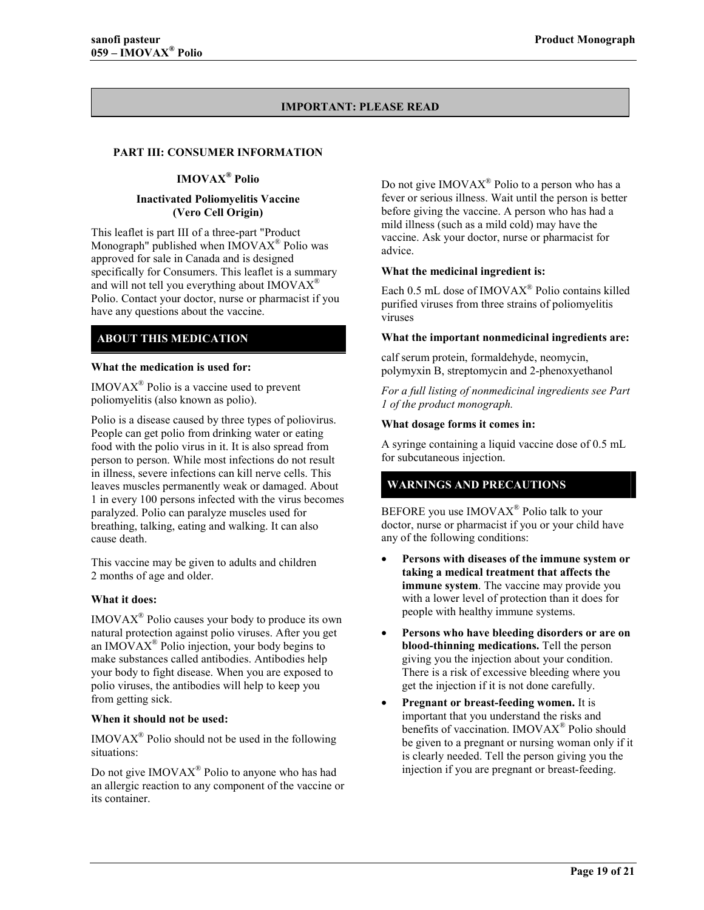#### **IMPORTANT: PLEASE READ**

#### <span id="page-18-0"></span>**PART III: CONSUMER INFORMATION**

#### **IMOVAX<sup>®</sup> Polio**

#### **Inactivated Poliomyelitis Vaccine (Vero Cell Origin)**

This leaflet is part III of a three-part "Product Monograph" published when  $IMOVAX^{\circledast}$  Polio was approved for sale in Canada and is designed specifically for Consumers. This leaflet is a summary and will not tell you everything about  $IMOVAX^®$ Polio. Contact your doctor, nurse or pharmacist if you have any questions about the vaccine.

#### **ABOUT THIS MEDICATION**

#### **What the medication is used for:**

 $IMOVAX^{\circledR}$  Polio is a vaccine used to prevent poliomyelitis (also known as polio).

Polio is a disease caused by three types of poliovirus. People can get polio from drinking water or eating food with the polio virus in it. It is also spread from person to person. While most infections do not result in illness, severe infections can kill nerve cells. This leaves muscles permanently weak or damaged. About 1 in every 100 persons infected with the virus becomes paralyzed. Polio can paralyze muscles used for breathing, talking, eating and walking. It can also cause death.

This vaccine may be given to adults and children 2 months of age and older.

#### **What it does:**

 $IMOVAX^{\circledast}$  Polio causes your body to produce its own natural protection against polio viruses. After you get an IMOVA $X^{\circledR}$  Polio injection, your body begins to make substances called antibodies. Antibodies help your body to fight disease. When you are exposed to polio viruses, the antibodies will help to keep you from getting sick.

#### **When it should not be used:**

 $IMOVAX^{\circledR}$  Polio should not be used in the following situations:

Do not give  $IMOVAX^{\circledast}$  Polio to anyone who has had an allergic reaction to any component of the vaccine or its container.

Do not give IMOVA $X^{\otimes}$  Polio to a person who has a fever or serious illness. Wait until the person is better before giving the vaccine. A person who has had a mild illness (such as a mild cold) may have the vaccine. Ask your doctor, nurse or pharmacist for advice.

#### **What the medicinal ingredient is:**

Each 0.5 mL dose of  $IMOVAX^{\circledR}$  Polio contains killed purified viruses from three strains of poliomyelitis viruses

#### **What the important nonmedicinal ingredients are:**

calf serum protein, formaldehyde, neomycin, polymyxin B, streptomycin and 2-phenoxyethanol

*For a full listing of nonmedicinal ingredients see Part 1 of the product monograph.* 

#### **What dosage forms it comes in:**

A syringe containing a liquid vaccine dose of 0.5 mL for subcutaneous injection.

#### **WARNINGS AND PRECAUTIONS**

BEFORE you use  $IMOVAX^{\circledast}$  Polio talk to your doctor, nurse or pharmacist if you or your child have any of the following conditions:

- **Persons with diseases of the immune system or taking a medical treatment that affects the immune system**. The vaccine may provide you with a lower level of protection than it does for people with healthy immune systems.
- **Persons who have bleeding disorders or are on blood-thinning medications.** Tell the person giving you the injection about your condition. There is a risk of excessive bleeding where you get the injection if it is not done carefully.
- **Pregnant or breast-feeding women.** It is important that you understand the risks and benefits of vaccination. IMOVAX<sup>®</sup> Polio should be given to a pregnant or nursing woman only if it is clearly needed. Tell the person giving you the injection if you are pregnant or breast-feeding.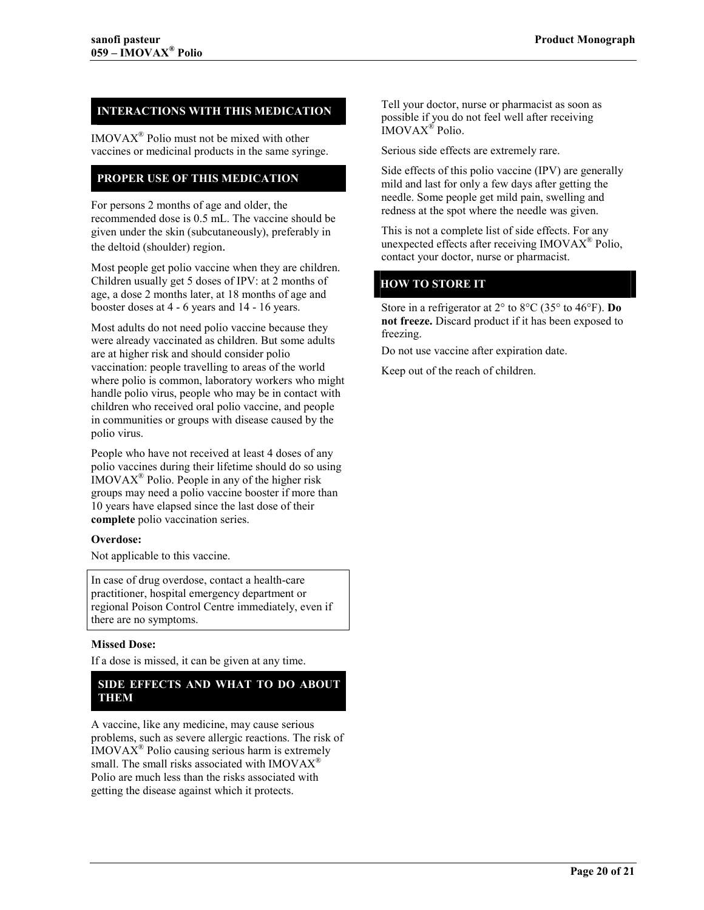#### **INTERACTIONS WITH THIS MEDICATION**

 $IMOVAX^{\circledast}$  Polio must not be mixed with other vaccines or medicinal products in the same syringe.

#### **PROPER USE OF THIS MEDICATION**

For persons 2 months of age and older, the recommended dose is 0.5 mL. The vaccine should be given under the skin (subcutaneously), preferably in the deltoid (shoulder) region.

Most people get polio vaccine when they are children. Children usually get 5 doses of IPV: at 2 months of age, a dose 2 months later, at 18 months of age and booster doses at 4 - 6 years and 14 - 16 years.

Most adults do not need polio vaccine because they were already vaccinated as children. But some adults are at higher risk and should consider polio vaccination: people travelling to areas of the world where polio is common, laboratory workers who might handle polio virus, people who may be in contact with children who received oral polio vaccine, and people in communities or groups with disease caused by the polio virus.

People who have not received at least 4 doses of any polio vaccines during their lifetime should do so using  $IMOVAX^{\circledR}$  Polio. People in any of the higher risk groups may need a polio vaccine booster if more than 10 years have elapsed since the last dose of their **complete** polio vaccination series.

#### **Overdose:**

Not applicable to this vaccine.

In case of drug overdose, contact a health-care practitioner, hospital emergency department or regional Poison Control Centre immediately, even if there are no symptoms.

#### **Missed Dose:**

If a dose is missed, it can be given at any time.

#### **SIDE EFFECTS AND WHAT TO DO ABOUT THEM**

A vaccine, like any medicine, may cause serious problems, such as severe allergic reactions. The risk of  $IMOVAX^{\circledast}$  Polio causing serious harm is extremely small. The small risks associated with  $IMOVAX^{\mathcal{R}}$ Polio are much less than the risks associated with getting the disease against which it protects.

Tell your doctor, nurse or pharmacist as soon as possible if you do not feel well after receiving IMOVAX<sup>®</sup> Polio.

Serious side effects are extremely rare.

Side effects of this polio vaccine (IPV) are generally mild and last for only a few days after getting the needle. Some people get mild pain, swelling and redness at the spot where the needle was given.

This is not a complete list of side effects. For any unexpected effects after receiving  $IMOVAX^{\omega}$  Polio, contact your doctor, nurse or pharmacist.

#### **HOW TO STORE IT**

Store in a refrigerator at 2° to 8°C (35° to 46°F). **Do not freeze.** Discard product if it has been exposed to freezing.

Do not use vaccine after expiration date.

Keep out of the reach of children.